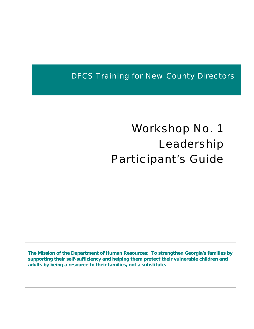DFCS Training for New County Directors

# Workshop No. 1 Leadership Participant's Guide

**The Mission of the Department of Human Resources: To strengthen Georgia's families by supporting their self-sufficiency and helping them protect their vulnerable children and adults by being a resource to their families, not a substitute.**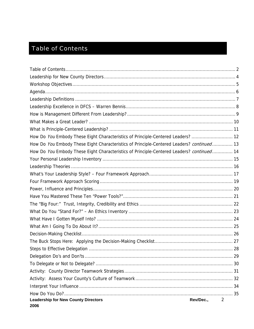# <span id="page-1-0"></span>Table of Contents

| How Do You Embody These Eight Characteristics of Principle-Centered Leaders?  12          |   |
|-------------------------------------------------------------------------------------------|---|
| How Do You Embody These Eight Characteristics of Principle-Centered Leaders? continued 13 |   |
| How Do You Embody These Eight Characteristics of Principle-Centered Leaders? continued 14 |   |
|                                                                                           |   |
|                                                                                           |   |
|                                                                                           |   |
|                                                                                           |   |
|                                                                                           |   |
|                                                                                           |   |
|                                                                                           |   |
|                                                                                           |   |
|                                                                                           |   |
|                                                                                           |   |
|                                                                                           |   |
|                                                                                           |   |
|                                                                                           |   |
|                                                                                           |   |
|                                                                                           |   |
|                                                                                           |   |
|                                                                                           |   |
|                                                                                           |   |
|                                                                                           |   |
| <b>Leadership for New County Directors</b><br>Rev/Dec.,<br>2006                           | 2 |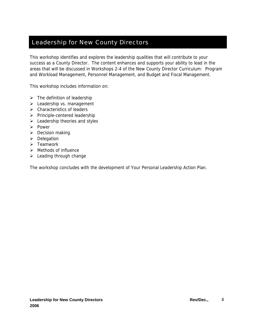#### <span id="page-3-0"></span>Leadership for New County Directors

This workshop identifies and explores the leadership qualities that will contribute to your success as a County Director. The content enhances and supports your ability to lead in the areas that will be discussed in Workshops 2-4 of the New County Director Curriculum: Program and Workload Management, Personnel Management, and Budget and Fiscal Management.

This workshop includes information on:

- $\triangleright$  The definition of leadership
- $\blacktriangleright$  Leadership vs. management
- $\triangleright$  Characteristics of leaders
- $\triangleright$  Principle-centered leadership
- $\triangleright$  Leadership theories and styles
- ¾ Power
- $\triangleright$  Decision making
- $\triangleright$  Delegation
- $\triangleright$  Teamwork
- $\triangleright$  Methods of influence
- $\blacktriangleright$  Leading through change

The workshop concludes with the development of Your Personal Leadership Action Plan.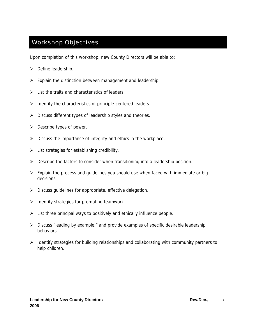#### <span id="page-4-0"></span>Workshop Objectives

Upon completion of this workshop, new County Directors will be able to:

- $\triangleright$  Define leadership.
- $\triangleright$  Explain the distinction between management and leadership.
- $\triangleright$  List the traits and characteristics of leaders.
- $\triangleright$  Identify the characteristics of principle-centered leaders.
- $\triangleright$  Discuss different types of leadership styles and theories.
- $\triangleright$  Describe types of power.
- $\triangleright$  Discuss the importance of integrity and ethics in the workplace.
- $\triangleright$  List strategies for establishing credibility.
- $\triangleright$  Describe the factors to consider when transitioning into a leadership position.
- $\triangleright$  Explain the process and guidelines you should use when faced with immediate or big decisions.
- $\triangleright$  Discuss guidelines for appropriate, effective delegation.
- $\blacktriangleright$  Identify strategies for promoting teamwork.
- $\triangleright$  List three principal ways to positively and ethically influence people.
- $\triangleright$  Discuss "leading by example," and provide examples of specific desirable leadership behaviors.
- $\triangleright$  Identify strategies for building relationships and collaborating with community partners to help children.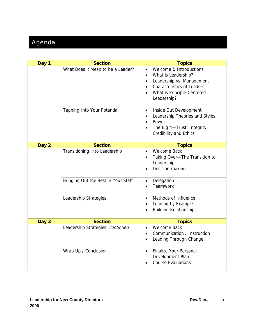# <span id="page-5-0"></span>Agenda

| Day 1 | <b>Section</b>                      | <b>Topics</b>                                                                                                                                                                                                                  |
|-------|-------------------------------------|--------------------------------------------------------------------------------------------------------------------------------------------------------------------------------------------------------------------------------|
|       | What Does it Mean to be a Leader?   | Welcome & Introductions<br>$\bullet$<br>What is Leadership?<br>$\bullet$<br>Leadership vs. Management<br>$\bullet$<br><b>Characteristics of Leaders</b><br>$\bullet$<br>What is Principle-Centered<br>$\bullet$<br>Leadership? |
|       | <b>Tapping Into Your Potential</b>  | Inside Out Development<br>$\bullet$<br>Leadership Theories and Styles<br>$\bullet$<br>Power<br>$\bullet$<br>The Big 4-Trust, Integrity,<br>$\bullet$<br><b>Credibility and Ethics</b>                                          |
| Day 2 | <b>Section</b>                      | <b>Topics</b>                                                                                                                                                                                                                  |
|       | Transitioning Into Leadership       | <b>Welcome Back</b><br>$\bullet$<br>Taking Over-The Transition to<br>$\bullet$<br>Leadership<br>Decision-making<br>$\bullet$                                                                                                   |
|       | Bringing Out the Best in Your Staff | Delegation<br>$\bullet$<br>Teamwork<br>$\bullet$                                                                                                                                                                               |
|       | Leadership Strategies               | Methods of Influence<br>$\bullet$<br>Leading by Example<br>$\bullet$<br><b>Building Relationships</b><br>$\bullet$                                                                                                             |
| Day 3 | <b>Section</b>                      | <b>Topics</b>                                                                                                                                                                                                                  |
|       | Leadership Strategies, continued    | <b>Welcome Back</b><br>$\bullet$<br>Communication / Instruction<br>$\bullet$<br>Leading Through Change<br>$\bullet$                                                                                                            |
|       | Wrap Up / Conclusion                | <b>Finalize Your Personal</b><br>$\bullet$<br>Development Plan<br><b>Course Evaluations</b>                                                                                                                                    |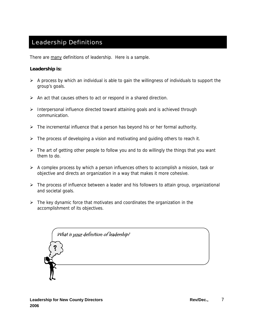#### <span id="page-6-0"></span>Leadership Definitions

There are many definitions of leadership. Here is a sample.

#### **Leadership is:**

- $\triangleright$  A process by which an individual is able to gain the willingness of individuals to support the group's goals.
- $\triangleright$  An act that causes others to act or respond in a shared direction.
- ¾ Interpersonal influence directed toward attaining goals and is achieved through communication.
- $\triangleright$  The incremental influence that a person has beyond his or her formal authority.
- $\triangleright$  The process of developing a vision and motivating and guiding others to reach it.
- $\triangleright$  The art of getting other people to follow you and to do willingly the things that you want them to do.
- $\triangleright$  A complex process by which a person influences others to accomplish a mission, task or objective and directs an organization in a way that makes it more cohesive.
- $\triangleright$  The process of influence between a leader and his followers to attain group, organizational and societal goals.
- $\triangleright$  The key dynamic force that motivates and coordinates the organization in the accomplishment of its objectives.

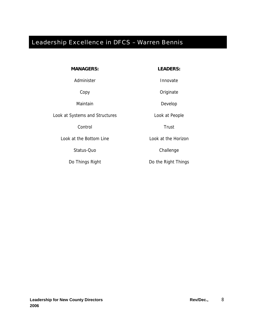# <span id="page-7-0"></span>Leadership Excellence in DFCS – Warren Bennis

|  |  |  | <b>MANAGERS:</b> |
|--|--|--|------------------|
|--|--|--|------------------|

Administer and a large state of the large state of the large state of the large state of the large state of the

Maintain **Develop** 

Look at Systems and Structures **Look at People** 

Control **Trust** 

Look at the Bottom Line Look at the Horizon

Status-Quo **Challenge** 

**MANAGERS:** LEADERS:

Copy **Originate** 

Do Things Right **Do Things** Do the Right Things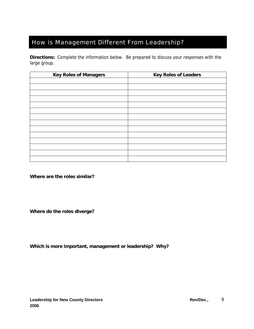#### <span id="page-8-0"></span>How is Management Different From Leadership?

**Directions:** Complete the information below. Be prepared to discuss your responses with the large group.

| <b>Key Roles of Managers</b> | <b>Key Roles of Leaders</b> |
|------------------------------|-----------------------------|
|                              |                             |
|                              |                             |
|                              |                             |
|                              |                             |
|                              |                             |
|                              |                             |
|                              |                             |
|                              |                             |
|                              |                             |
|                              |                             |
|                              |                             |
|                              |                             |
|                              |                             |
|                              |                             |

**Where are the roles similar?** 

**Where do the roles diverge?** 

**Which is more important, management or leadership? Why?**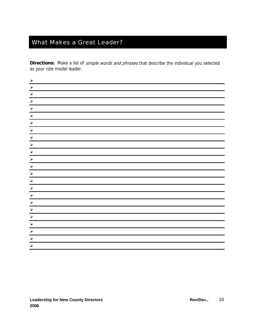# <span id="page-9-0"></span>What Makes a Great Leader?

Directions: Make a list of simple words and phrases that describe the individual you selected as your role model leader.

| $\sum_{i=1}^{n}$                                            |  |
|-------------------------------------------------------------|--|
| $\blacktriangleright$                                       |  |
| $\blacktriangleright$                                       |  |
| $\blacktriangleright$                                       |  |
| $\blacktriangleright$                                       |  |
| $\blacktriangleright$                                       |  |
| $\bigg  \bigg $                                             |  |
| $\blacktriangleright$                                       |  |
| $\boxed{\triangleright}$                                    |  |
| $\vert x \vert$                                             |  |
|                                                             |  |
| $\blacktriangleright$                                       |  |
| $\blacktriangleright$                                       |  |
| $\blacktriangleright$                                       |  |
| $\begin{array}{c c c c} \hline \times & \times \end{array}$ |  |
|                                                             |  |
| $\blacktriangleright$                                       |  |
| $\blacktriangleright$                                       |  |
| $\blacktriangleright$                                       |  |
| $\blacktriangleright$                                       |  |
| $\blacktriangleright$                                       |  |
| $\blacktriangleright$                                       |  |
| $\blacktriangleright$                                       |  |
| $\blacktriangleright$                                       |  |
|                                                             |  |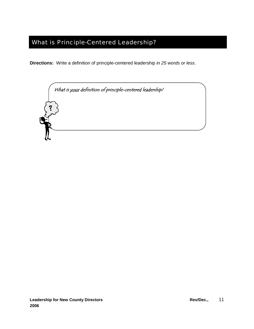### <span id="page-10-0"></span>What is Principle-Centered Leadership?

**Directions:** Write a definition of principle-centered leadership *in 25 words or less*.

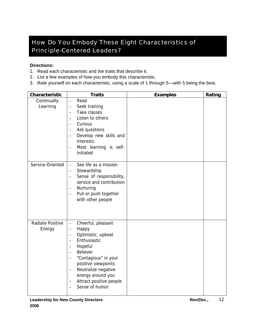### <span id="page-11-0"></span>How Do *You* Embody These Eight Characteristics of Principle-Centered Leaders?

#### **Directions:**

- 1. Read each characteristic and the traits that describe it.
- 2. List a few examples of how you embody this characteristic.
- 3. Rate yourself on each characteristic, using a scale of 1 through 5—with 5 being the best.

| Characteristic             | <b>Traits</b>                                                                                                                                                                                                                                                                                                                                                                                                                                                                            | <b>Examples</b> | Rating |
|----------------------------|------------------------------------------------------------------------------------------------------------------------------------------------------------------------------------------------------------------------------------------------------------------------------------------------------------------------------------------------------------------------------------------------------------------------------------------------------------------------------------------|-----------------|--------|
| Continually<br>Learning    | Read<br>$\frac{1}{2}$<br>Seek training<br>$\qquad \qquad \blacksquare$<br>Take classes<br>$\frac{1}{2}$<br>Listen to others<br>$\frac{1}{2}$<br>Curious<br>$\blacksquare$<br>Ask questions<br>$\overline{\phantom{a}}$<br>Develop new skills and<br>$\overline{\phantom{a}}$<br>interests<br>Most learning is self-<br>$\overline{\phantom{a}}$<br>initiated                                                                                                                             |                 |        |
| Service-Oriented           | See life as a mission<br>$\equiv$<br>Stewardship<br>$\overline{\phantom{a}}$<br>Sense of responsibility,<br>$\overline{\phantom{a}}$<br>service and contribution<br>Nurturing<br>$\overline{\phantom{a}}$<br>Pull or push together<br>$\overline{\phantom{a}}$<br>with other people                                                                                                                                                                                                      |                 |        |
| Radiate Positive<br>Energy | Cheerful, pleasant<br>$\overline{\phantom{a}}$<br>Happy<br>$\qquad \qquad -$<br>Optimistic, upbeat<br>$\qquad \qquad -$<br>Enthusiastic<br>$\frac{1}{2}$<br>Hopeful<br>$\overline{\phantom{a}}$<br>Believer<br>$\overline{\phantom{a}}$<br>"Contagious" in your<br>$\overline{\phantom{a}}$<br>positive viewpoints<br>Neutralize negative<br>$\overline{\phantom{a}}$<br>energy around you<br>Attract positive people<br>$\overline{\phantom{a}}$<br>Sense of humor<br>$\qquad \qquad -$ |                 |        |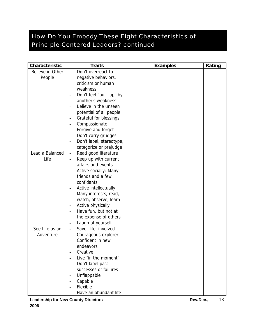### <span id="page-12-0"></span>How Do *You* Embody These Eight Characteristics of Principle-Centered Leaders? *continued*

| Characteristic   | <b>Traits</b>                                         | <b>Examples</b> | Rating |
|------------------|-------------------------------------------------------|-----------------|--------|
| Believe in Other | Don't overreact to                                    |                 |        |
| People           | negative behaviors,                                   |                 |        |
|                  | criticism or human                                    |                 |        |
|                  | weakness                                              |                 |        |
|                  | Don't feel "built up" by<br>$\overline{\phantom{0}}$  |                 |        |
|                  | another's weakness                                    |                 |        |
|                  | Believe in the unseen<br>$\overline{a}$               |                 |        |
|                  | potential of all people                               |                 |        |
|                  | Grateful for blessings<br>$\overline{\phantom{a}}$    |                 |        |
|                  | Compassionate<br>$\qquad \qquad -$                    |                 |        |
|                  | Forgive and forget<br>$\qquad \qquad -$               |                 |        |
|                  | Don't carry grudges<br>$\qquad \qquad \blacksquare$   |                 |        |
|                  | Don't label, stereotype,<br>$\overline{\phantom{0}}$  |                 |        |
|                  | categorize or prejudge                                |                 |        |
| Lead a Balanced  | Read good literature<br>$\blacksquare$                |                 |        |
| Life             | Keep up with current                                  |                 |        |
|                  | affairs and events                                    |                 |        |
|                  | Active socially: Many<br>$\qquad \qquad \blacksquare$ |                 |        |
|                  | friends and a few                                     |                 |        |
|                  | confidants                                            |                 |        |
|                  | Active intellectually:<br>$\overline{\phantom{a}}$    |                 |        |
|                  | Many interests, read,                                 |                 |        |
|                  | watch, observe, learn                                 |                 |        |
|                  | Active physically<br>$\overline{\phantom{a}}$         |                 |        |
|                  | Have fun, but not at<br>$\overline{\phantom{0}}$      |                 |        |
|                  | the expense of others                                 |                 |        |
|                  | Laugh at yourself<br>$\overline{\phantom{a}}$         |                 |        |
| See Life as an   | Savor life, involved<br>$\frac{1}{2}$                 |                 |        |
| Adventure        | Courageous explorer<br>$\qquad \qquad \blacksquare$   |                 |        |
|                  | Confident in new<br>$\overline{a}$                    |                 |        |
|                  | endeavors                                             |                 |        |
|                  | Creative                                              |                 |        |
|                  | Live "in the moment"<br>$\overline{\phantom{0}}$      |                 |        |
|                  | Don't label past<br>$\overline{\phantom{a}}$          |                 |        |
|                  | successes or failures                                 |                 |        |
|                  | Unflappable<br>$\qquad \qquad -$                      |                 |        |
|                  | Capable<br>$\overline{\phantom{a}}$                   |                 |        |
|                  | Flexible                                              |                 |        |
|                  | Have an abundant life                                 |                 |        |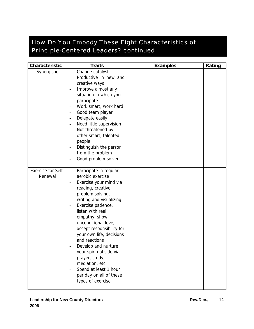## <span id="page-13-0"></span>How Do *You* Embody These Eight Characteristics of Principle-Centered Leaders? *continued*

| Characteristic                       | <b>Traits</b>                                                                                                                                                                                                                                                                                                                                                                                                                                                                                                                                                                                                                  | <b>Examples</b> | Rating |
|--------------------------------------|--------------------------------------------------------------------------------------------------------------------------------------------------------------------------------------------------------------------------------------------------------------------------------------------------------------------------------------------------------------------------------------------------------------------------------------------------------------------------------------------------------------------------------------------------------------------------------------------------------------------------------|-----------------|--------|
| Synergistic                          | Change catalyst<br>$\overline{\phantom{a}}$<br>Productive in new and<br>$\blacksquare$<br>creative ways<br>Improve almost any<br>$\overline{\phantom{a}}$<br>situation in which you<br>participate<br>Work smart, work hard<br>$\overline{\phantom{a}}$<br>Good team player<br>$\overline{\phantom{a}}$<br>Delegate easily<br>$\overline{\phantom{a}}$<br>Need little supervision<br>$\overline{\phantom{a}}$<br>Not threatened by<br>$\overline{\phantom{a}}$<br>other smart, talented<br>people<br>Distinguish the person<br>$\overline{\phantom{a}}$<br>from the problem<br>Good problem-solver<br>$\overline{\phantom{a}}$ |                 |        |
| <b>Exercise for Self-</b><br>Renewal | Participate in regular<br>$\blacksquare$<br>aerobic exercise<br>Exercise your mind via<br>$\overline{\phantom{a}}$<br>reading, creative<br>problem solving,<br>writing and visualizing<br>Exercise patience,<br>$\qquad \qquad -$<br>listen with real<br>empathy, show<br>unconditional love,<br>accept responsibility for<br>your own life, decisions<br>and reactions<br>Develop and nurture<br>your spiritual side via<br>prayer, study,<br>mediation, etc.<br>Spend at least 1 hour<br>per day on all of these<br>types of exercise                                                                                        |                 |        |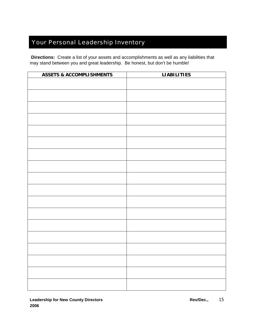# <span id="page-14-0"></span>Your Personal Leadership Inventory

 **Directions:** Create a list of your assets and accomplishments as well as any liabilities that may stand between you and great leadership. Be honest, but don't be humble!

| <b>ASSETS &amp; ACCOMPLISHMENTS</b> | <b>LIABILITIES</b> |
|-------------------------------------|--------------------|
|                                     |                    |
|                                     |                    |
|                                     |                    |
|                                     |                    |
|                                     |                    |
|                                     |                    |
|                                     |                    |
|                                     |                    |
|                                     |                    |
|                                     |                    |
|                                     |                    |
|                                     |                    |
|                                     |                    |
|                                     |                    |
|                                     |                    |
|                                     |                    |
|                                     |                    |
|                                     |                    |
|                                     |                    |
|                                     |                    |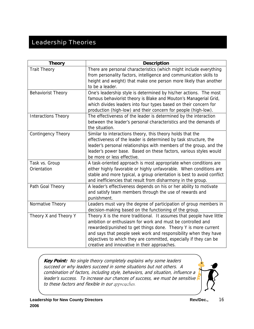### <span id="page-15-0"></span>Leadership Theories

| <b>Theory</b>              | <b>Description</b>                                                     |
|----------------------------|------------------------------------------------------------------------|
| <b>Trait Theory</b>        | There are personal characteristics (which might include everything     |
|                            | from personality factors, intelligence and communication skills to     |
|                            | height and weight) that make one person more likely than another       |
|                            | to be a leader.                                                        |
| <b>Behaviorist Theory</b>  | One's leadership style is determined by his/her actions. The most      |
|                            | famous behaviorist theory is Blake and Mouton's Managerial Grid,       |
|                            | which divides leaders into four types based on their concern for       |
|                            | production (high-low) and their concern for people (high-low).         |
| <b>Interactions Theory</b> | The effectiveness of the leader is determined by the interaction       |
|                            | between the leader's personal characteristics and the demands of       |
|                            | the situation.                                                         |
| <b>Contingency Theory</b>  | Similar to interactions theory, this theory holds that the             |
|                            | effectiveness of the leader is determined by task structure, the       |
|                            | leader's personal relationships with members of the group, and the     |
|                            | leader's power base. Based on these factors, various styles would      |
|                            | be more or less effective.                                             |
| Task vs. Group             | A task-oriented approach is most appropriate when conditions are       |
| Orientation                | either highly favorable or highly unfavorable. When conditions are     |
|                            | stable and more typical, a group orientation is best to avoid conflict |
|                            | and inefficiencies that result from disharmony in the group.           |
| Path Goal Theory           | A leader's effectiveness depends on his or her ability to motivate     |
|                            | and satisfy team members through the use of rewards and                |
|                            | punishment.                                                            |
| Normative Theory           | Leaders must vary the degree of participation of group members in      |
|                            | decision-making based on the functioning of the group.                 |
| Theory X and Theory Y      | Theory X is the more traditional. It assumes that people have little   |
|                            | ambition or enthusiasm for work and must be controlled and             |
|                            | rewarded/punished to get things done. Theory Y is more current         |
|                            | and says that people seek work and responsibility when they have       |
|                            | objectives to which they are committed, especially if they can be      |
|                            | creative and innovative in their approaches.                           |

**Key Point:** No single theory completely explains why some leaders succeed or why leaders succeed in some situations but not others. A combination of factors, including style, behaviors, and situation, influence a leader's success. To increase our chances of success, we must be sensitive to these factors and flexible in our approaches.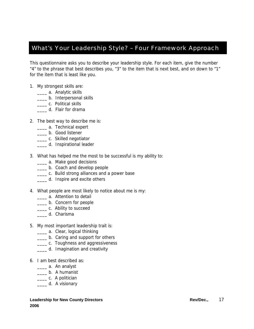#### <span id="page-16-0"></span>What's Your Leadership Style? – Four Framework Approach

This questionnaire asks you to describe your leadership style. For each item, give the number "4" to the phrase that best describes you, "3" to the item that is next best, and on down to "1" for the item that is least like you.

- 1. My strongest skills are:
	- \_\_\_\_ a. Analytic skills
	- \_\_\_\_ b. Interpersonal skills
	- \_\_\_\_\_ c. Political skills
	- \_\_\_\_ d. Flair for drama
- 2. The best way to describe me is:
	- \_\_\_\_ a. Technical expert
	- \_\_\_\_ b. Good listener
	- \_\_\_\_ c. Skilled negotiator
	- \_\_\_\_ d. Inspirational leader
- 3. What has helped me the most to be successful is my ability to:
	- \_\_\_\_ a. Make good decisions
	- \_\_\_\_ b. Coach and develop people
	- \_\_\_\_ c. Build strong alliances and a power base
	- \_\_\_\_ d. Inspire and excite others
- 4. What people are most likely to notice about me is my:
	- \_\_\_\_ a. Attention to detail
	- \_\_\_ b. Concern for people
	- \_\_\_\_ c. Ability to succeed
	- \_\_\_\_ d. Charisma
- 5. My most important leadership trait is:
	- **\_\_\_\_ a.** Clear, logical thinking
	- **\_\_\_\_ b.** Caring and support for others
	- **\_\_\_\_ c.** Toughness and aggressiveness
	- \_\_\_\_ d. Imagination and creativity
- 6. I am best described as:
	- \_\_\_\_ a. An analyst
	- \_\_\_\_ b. A humanist
	- \_\_\_\_\_\_ c. A politician
	- \_\_\_\_ d. A visionary

#### **Leadership for New County Directors Access Access Access Access Access Access Access Access Access Access Access 2006**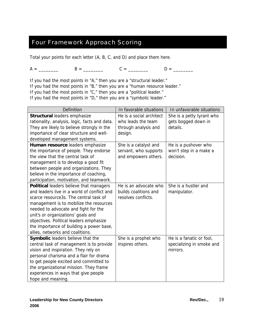#### <span id="page-18-0"></span>Four Framework Approach Scoring

Total your points for each letter (A, B, C, and D) and place them here.

 $A =$  \_\_\_\_\_\_\_\_ B = \_\_\_\_\_\_ C = \_\_\_\_\_\_ D = \_\_\_\_\_\_

If you had the most points in "A," then you are a "structural leader." If you had the most points in "B," then you are a "human resource leader." If you had the most points in "C," then you are a "political leader." If you had the most points in "D," then you are a "symbolic leader."

| Definition                                    | In favorable situations  | In unfavorable situations |
|-----------------------------------------------|--------------------------|---------------------------|
| Structural leaders emphasize                  | He is a social architect | She is a petty tyrant who |
| rationality, analysis, logic, facts and data. | who leads the team       | gets bogged down in       |
| They are likely to believe strongly in the    | through analysis and     | details.                  |
| importance of clear structure and well-       | design.                  |                           |
| developed management systems.                 |                          |                           |
| Human resource leaders emphasize              | She is a catalyst and    | He is a pushover who      |
| the importance of people. They endorse        | servant, who supports    | won't step in a make a    |
| the view that the central task of             | and empowers others.     | decision.                 |
| management is to develop a good fit           |                          |                           |
| between people and organizations. They        |                          |                           |
| believe in the importance of coaching,        |                          |                           |
| participation, motivation, and teamwork.      |                          |                           |
| Political leaders believe that managers       | He is an advocate who    | She is a hustler and      |
| and leaders live in a world of conflict and   | builds coalitions and    | manipulator.              |
| scarce resource3s. The central task of        | resolves conflicts.      |                           |
| management is to mobilize the resources       |                          |                           |
| needed to advocate and fight for the          |                          |                           |
| unit's or organizations' goals and            |                          |                           |
| objectives. Political leaders emphasize       |                          |                           |
| the importance of building a power base,      |                          |                           |
| allies, networks and coalitions.              |                          |                           |
| Symbolic leaders believe that the             | She is a prophet who     | He is a fanatic or fool,  |
| central task of management is to provide      | inspires others.         | specializing in smoke and |
| vision and inspiration. They rely on          |                          | mirrors.                  |
| personal charisma and a flair for drama       |                          |                           |
| to get people excited and committed to        |                          |                           |
| the organizational mission. They frame        |                          |                           |
| experiences in ways that give people          |                          |                           |
| hope and meaning.                             |                          |                           |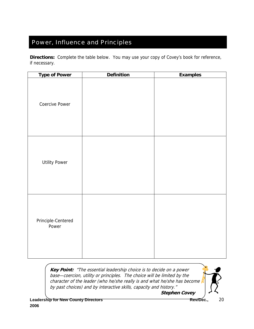### <span id="page-19-0"></span>Power, Influence and Principles

**Directions:** Complete the table below. You may use your copy of Covey's book for reference, if necessary.

| <b>Type of Power</b>        | <b>Definition</b> | <b>Examples</b> |
|-----------------------------|-------------------|-----------------|
| <b>Coercive Power</b>       |                   |                 |
| <b>Utility Power</b>        |                   |                 |
| Principle-Centered<br>Power |                   |                 |

**Key Point:** "The essential leadership choice is to decide on a power base—coercion, utility or principles. The choice will be limited by the character of the leader (who he/she really is and what he/she has become by past choices) and by interactive skills, capacity and history."

 **Stephen Covey**

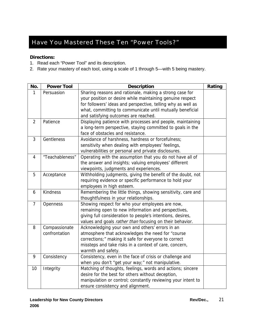### <span id="page-20-0"></span>Have You Mastered These Ten "Power Tools?"

#### **Directions:**

- 1. Read each "Power Tool" and its description.
- 2. Rate your mastery of each tool, using a scale of 1 through 5—with 5 being mastery.

| No.            | <b>Power Tool</b> | <b>Description</b>                                           | Rating |
|----------------|-------------------|--------------------------------------------------------------|--------|
| 1              | Persuasion        | Sharing reasons and rationale, making a strong case for      |        |
|                |                   | your position or desire while maintaining genuine respect    |        |
|                |                   | for followers' ideas and perspective, telling why as well as |        |
|                |                   | what, committing to communicate until mutually beneficial    |        |
|                |                   | and satisfying outcomes are reached.                         |        |
| $\overline{2}$ | Patience          | Displaying patience with processes and people, maintaining   |        |
|                |                   | a long-term perspective, staying committed to goals in the   |        |
|                |                   | face of obstacles and resistance.                            |        |
| 3              | Gentleness        | Avoidance of harshness, hardness or forcefulness;            |        |
|                |                   | sensitivity when dealing with employees' feelings,           |        |
|                |                   | vulnerabilities or personal and private disclosures.         |        |
| $\overline{4}$ | "Teachableness"   | Operating with the assumption that you do not have all of    |        |
|                |                   | the answer and insights; valuing employees' different        |        |
|                |                   | viewpoints, judgments and experiences.                       |        |
| 5              | Acceptance        | Withholding judgments, giving the benefit of the doubt, not  |        |
|                |                   | requiring evidence or specific performance to hold your      |        |
|                |                   | employees in high esteem.                                    |        |
| 6              | Kindness          | Remembering the little things, showing sensitivity, care and |        |
|                |                   | thoughtfulness in your relationships.                        |        |
| $\overline{7}$ | Openness          | Showing respect for who your employees are now,              |        |
|                |                   | remaining open to new information and perspectives,          |        |
|                |                   | giving full consideration to people's intentions, desires,   |        |
|                |                   | values and goals rather than focusing on their behavior.     |        |
| 8              | Compassionate     | Acknowledging your own and others' errors in an              |        |
|                | confrontation     | atmosphere that acknowledges the need for "course            |        |
|                |                   | corrections;" making it safe for everyone to correct         |        |
|                |                   | missteps and take risks in a context of care, concern,       |        |
|                |                   | warmth and safety.                                           |        |
| 9              | Consistency       | Consistency, even in the face of crisis or challenge and     |        |
|                |                   | when you don't "get your way;" not manipulative.             |        |
| 10             | Integrity         | Matching of thoughts, feelings, words and actions; sincere   |        |
|                |                   | desire for the best for others without deception,            |        |
|                |                   | manipulation or control; constantly reviewing your intent to |        |
|                |                   | ensure consistency and alignment.                            |        |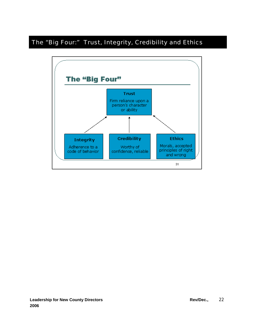### <span id="page-21-0"></span>The "Big Four:" Trust, Integrity, Credibility and Ethics

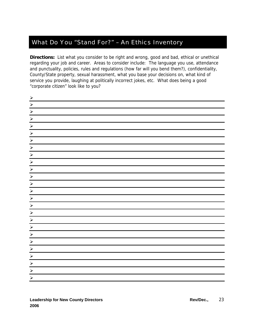#### <span id="page-22-0"></span>What Do You "Stand For?" – An Ethics Inventory

**Directions:** List what you consider to be right and wrong, good and bad, ethical or unethical regarding your job and career. Areas to consider include: The language you use, attendance and punctuality, policies, rules and regulations (how far will you bend them?), confidentiality, County/State property, sexual harassment, what you base your decisions on, what kind of service you provide, laughing at politically incorrect jokes, etc. What does being a good "corporate citizen" look like to you?

| $\frac{\lambda}{\lambda}$                                                                                                                                                                                                                                                                                                                                                                                                                                                        |  |
|----------------------------------------------------------------------------------------------------------------------------------------------------------------------------------------------------------------------------------------------------------------------------------------------------------------------------------------------------------------------------------------------------------------------------------------------------------------------------------|--|
| $\vert \times \vert \times \vert$                                                                                                                                                                                                                                                                                                                                                                                                                                                |  |
|                                                                                                                                                                                                                                                                                                                                                                                                                                                                                  |  |
|                                                                                                                                                                                                                                                                                                                                                                                                                                                                                  |  |
| $\begin{array}{c c c c c} \hline \times & \times & \end{array}$                                                                                                                                                                                                                                                                                                                                                                                                                  |  |
|                                                                                                                                                                                                                                                                                                                                                                                                                                                                                  |  |
| $\blacktriangleright$                                                                                                                                                                                                                                                                                                                                                                                                                                                            |  |
| $\blacktriangleright$                                                                                                                                                                                                                                                                                                                                                                                                                                                            |  |
| $\begin{array}{c c c c c c} \hline \hline \multicolumn{3}{c }{\times} & \multicolumn{3}{c }{\times} & \multicolumn{3}{c }{\times} & \multicolumn{3}{c }{\times} & \multicolumn{3}{c }{\times} & \multicolumn{3}{c }{\times} & \multicolumn{3}{c }{\times} & \multicolumn{3}{c }{\times} & \multicolumn{3}{c }{\times} & \multicolumn{3}{c }{\times} & \multicolumn{3}{c }{\times} & \multicolumn{3}{c }{\times} & \multicolumn{3}{c }{\times} & \multicolumn{3}{c }{\times} & \$ |  |
|                                                                                                                                                                                                                                                                                                                                                                                                                                                                                  |  |
|                                                                                                                                                                                                                                                                                                                                                                                                                                                                                  |  |
|                                                                                                                                                                                                                                                                                                                                                                                                                                                                                  |  |
| $\blacktriangleright$                                                                                                                                                                                                                                                                                                                                                                                                                                                            |  |
| $\blacktriangledown$                                                                                                                                                                                                                                                                                                                                                                                                                                                             |  |
| $\blacktriangleright$                                                                                                                                                                                                                                                                                                                                                                                                                                                            |  |
| $\begin{array}{c c c c} \hline \times & \times \end{array}$                                                                                                                                                                                                                                                                                                                                                                                                                      |  |
|                                                                                                                                                                                                                                                                                                                                                                                                                                                                                  |  |
| $\blacktriangleright$                                                                                                                                                                                                                                                                                                                                                                                                                                                            |  |
| $\rightarrow$                                                                                                                                                                                                                                                                                                                                                                                                                                                                    |  |
| $\frac{1}{\alpha}$                                                                                                                                                                                                                                                                                                                                                                                                                                                               |  |
|                                                                                                                                                                                                                                                                                                                                                                                                                                                                                  |  |
|                                                                                                                                                                                                                                                                                                                                                                                                                                                                                  |  |
|                                                                                                                                                                                                                                                                                                                                                                                                                                                                                  |  |
| $\blacktriangleright$                                                                                                                                                                                                                                                                                                                                                                                                                                                            |  |
| $\blacktriangleright$                                                                                                                                                                                                                                                                                                                                                                                                                                                            |  |
|                                                                                                                                                                                                                                                                                                                                                                                                                                                                                  |  |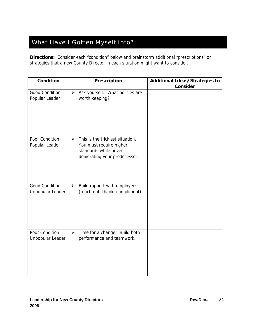# <span id="page-23-0"></span>What Have I Gotten Myself Into?

**Directions:** Consider each "condition" below and brainstorm additional "prescriptions" or strategies that a new County Director in each situation might want to consider.

| Condition                                 | Prescription                                                                                                                           | <b>Additional Ideas/Strategies to</b> |
|-------------------------------------------|----------------------------------------------------------------------------------------------------------------------------------------|---------------------------------------|
|                                           |                                                                                                                                        | <b>Consider</b>                       |
| <b>Good Condition</b><br>Popular Leader   | Ask yourself: What policies are<br>$\blacktriangleright$<br>worth keeping?                                                             |                                       |
| Poor Condition<br>Popular Leader          | $\triangleright$ This is the trickiest situation.<br>You must require higher<br>standards while never<br>denigrating your predecessor. |                                       |
| <b>Good Condition</b><br>Unpopular Leader | Build rapport with employees<br>$\blacktriangleright$<br>(reach out, thank, compliment).                                               |                                       |
| Poor Condition<br>Unpopular Leader        | Time for a change! Build both<br>$\blacktriangleright$<br>performance and teamwork.                                                    |                                       |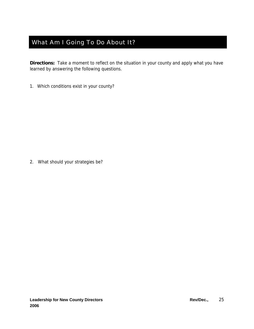#### <span id="page-24-0"></span>What Am I Going To Do About It?

**Directions:** Take a moment to reflect on the situation in your county and apply what you have learned by answering the following questions.

1. Which conditions exist in your county?

2. What should your strategies be?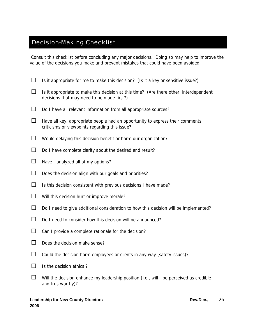#### <span id="page-25-0"></span>Decision-Making Checklist

Consult this checklist before concluding any major decisions. Doing so may help to improve the value of the decisions you make and prevent mistakes that could have been avoided.

- $\Box$  Is it appropriate for me to make this decision? (Is it a key or sensitive issue?)
- $\Box$  Is it appropriate to make this decision at this time? (Are there other, interdependent decisions that may need to be made first?)
- $\Box$  Do I have all relevant information from all appropriate sources?
- $\Box$  Have all key, appropriate people had an opportunity to express their comments, criticisms or viewpoints regarding this issue?
- $\Box$  Would delaying this decision benefit or harm our organization?
- $\Box$  Do I have complete clarity about the desired end result?
- $\Box$  Have I analyzed all of my options?
- $\Box$  Does the decision align with our goals and priorities?
- $\Box$  Is this decision consistent with previous decisions I have made?
- $\Box$  Will this decision hurt or improve morale?
- $\Box$  Do I need to give additional consideration to how this decision will be implemented?
- $\Box$  Do I need to consider how this decision will be announced?
- $\Box$  Can I provide a complete rationale for the decision?
- $\Box$  Does the decision make sense?
- $\Box$  Could the decision harm employees or clients in any way (safety issues)?
- $\Box$  Is the decision ethical?
- $\Box$  Will the decision enhance my leadership position (i.e., will I be perceived as credible and trustworthy)?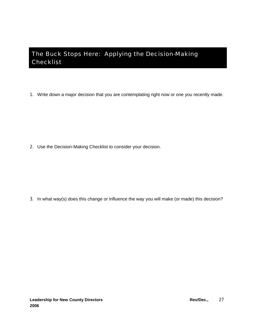### <span id="page-26-0"></span>The Buck Stops Here: Applying the Decision-Making Checklist

1. Write down a major decision that you are contemplating right now or one you recently made.

2. Use the Decision-Making Checklist to consider your decision.

3. In what way(s) does this change or influence the way you will make (or made) this decision?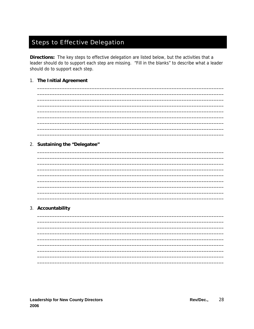# <span id="page-27-0"></span>**Steps to Effective Delegation**

Directions: The key steps to effective delegation are listed below, but the activities that a leader should do to support each step are missing. "Fill in the blanks" to describe what a leader should do to support each step.

#### 1. The Initial Agreement

#### 2. Sustaining the "Delegatee"

#### 3. Accountability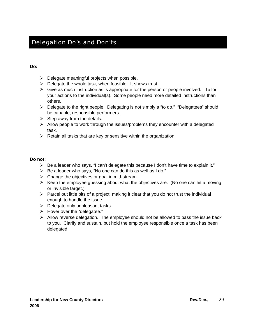#### <span id="page-28-0"></span>Delegation Do's and Don'ts

#### **Do:**

- $\triangleright$  Delegate meaningful projects when possible.
- $\triangleright$  Delegate the whole task, when feasible. It shows trust.
- $\triangleright$  Give as much instruction as is appropriate for the person or people involved. Tailor your actions to the individual(s). Some people need more detailed instructions than others.
- ¾ Delegate to the right people. Delegating is not simply a "to do." "Delegatees" should be capable, responsible performers.
- $\triangleright$  Step away from the details.
- $\triangleright$  Allow people to work through the issues/problems they encounter with a delegated task.
- $\triangleright$  Retain all tasks that are key or sensitive within the organization.

#### **Do not:**

- $\triangleright$  Be a leader who says, "I can't delegate this because I don't have time to explain it."
- $\triangleright$  Be a leader who says, "No one can do this as well as I do."
- $\triangleright$  Change the objectives or goal in mid-stream.
- $\triangleright$  Keep the employee guessing about what the objectives are. (No one can hit a moving or invisible target.)
- $\triangleright$  Parcel out little bits of a project, making it clear that you do not trust the individual enough to handle the issue.
- $\triangleright$  Delegate only unpleasant tasks.
- ¾ Hover over the "delegatee."
- $\triangleright$  Allow reverse delegation. The employee should not be allowed to pass the issue back to you. Clarify and sustain, but hold the employee responsible once a task has been delegated.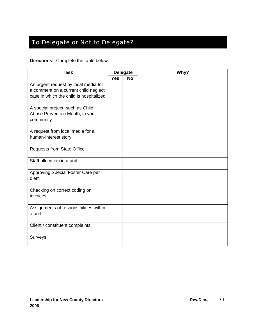# <span id="page-29-0"></span>To Delegate or Not to Delegate?

**Directions:** Complete the table below.

| <b>Task</b>                                                                                                             | <b>Delegate</b> |           | Why? |
|-------------------------------------------------------------------------------------------------------------------------|-----------------|-----------|------|
|                                                                                                                         | <b>Yes</b>      | <b>No</b> |      |
| An urgent request by local media for<br>a comment on a current child neglect<br>case in which the child is hospitalized |                 |           |      |
| A special project, such as Child<br>Abuse Prevention Month, in your<br>community                                        |                 |           |      |
| A request from local media for a<br>human-interest story                                                                |                 |           |      |
| <b>Requests from State Office</b>                                                                                       |                 |           |      |
| Staff allocation in a unit                                                                                              |                 |           |      |
| Approving Special Foster Care per<br>diem                                                                               |                 |           |      |
| Checking on correct coding on<br>invoices                                                                               |                 |           |      |
| Assignments of responsibilities within<br>a unit                                                                        |                 |           |      |
| Client / constituent complaints                                                                                         |                 |           |      |
| Surveys                                                                                                                 |                 |           |      |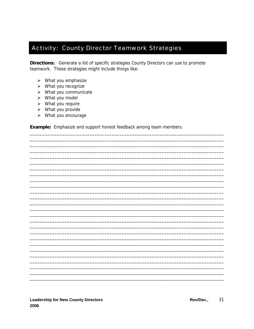#### <span id="page-30-0"></span>**Activity: County Director Teamwork Strategies**

Directions: Generate a list of specific strategies County Directors can use to promote teamwork. These strategies might include things like:

- $\triangleright$  What you emphasize
- $\triangleright$  What you recognize
- $\triangleright$  What you communicate
- $\triangleright$  What you model
- $\triangleright$  What you require
- $\triangleright$  What you provide
- $\triangleright$  What you encourage

Example: Emphasize and support honest feedback among team members.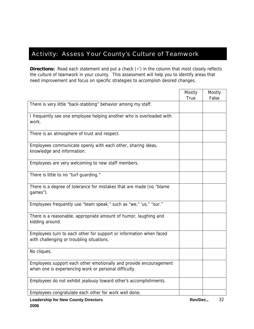#### <span id="page-31-0"></span>Activity: Assess Your County's Culture of Teamwork

**Directions:** Read each statement and put a check (√) in the column that most closely reflects the culture of teamwork in your county. This assessment will help you to identify areas that need improvement and focus on specific strategies to accomplish desired changes.

|                                                                                                                             | Mostly<br><b>True</b> | Mostly<br>False |
|-----------------------------------------------------------------------------------------------------------------------------|-----------------------|-----------------|
| There is very little "back-stabbing" behavior among my staff.                                                               |                       |                 |
| I frequently see one employee helping another who is overloaded with<br>work.                                               |                       |                 |
| There is an atmosphere of trust and respect.                                                                                |                       |                 |
| Employees communicate openly with each other, sharing ideas,<br>knowledge and information.                                  |                       |                 |
| Employees are very welcoming to new staff members.                                                                          |                       |                 |
| There is little to no "turf guarding."                                                                                      |                       |                 |
| There is a degree of tolerance for mistakes that are made (no "blame<br>games").                                            |                       |                 |
| Employees frequently use "team speak," such as "we," 'us," "our."                                                           |                       |                 |
| There is a reasonable, appropriate amount of humor, laughing and<br>kidding around.                                         |                       |                 |
| Employees turn to each other for support or information when faced<br>with challenging or troubling situations.             |                       |                 |
| No cliques.                                                                                                                 |                       |                 |
| Employees support each other emotionally and provide encouragement<br>when one is experiencing work or personal difficulty. |                       |                 |
| Employees do not exhibit jealousy toward other's accomplishments.                                                           |                       |                 |
| Employees congratulate each other for work well done.                                                                       |                       |                 |
| <b>Leadership for New County Directors</b>                                                                                  | Rev/Dec.,             | 32              |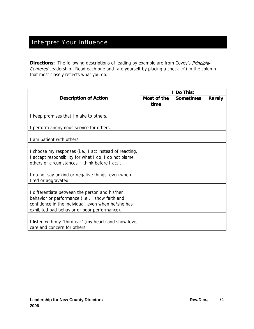### <span id="page-33-0"></span>Interpret Your Influence

**Directions:** The following descriptions of leading by example are from Covey's Principle-Centered Leadership. Read each one and rate yourself by placing a check  $(\checkmark)$  in the column that most closely reflects what you do.

|                                                                                                                                                                                                         |                     | I Do This:       |        |
|---------------------------------------------------------------------------------------------------------------------------------------------------------------------------------------------------------|---------------------|------------------|--------|
| <b>Description of Action</b>                                                                                                                                                                            | Most of the<br>time | <b>Sometimes</b> | Rarely |
| I keep promises that I make to others.                                                                                                                                                                  |                     |                  |        |
| I perform anonymous service for others.                                                                                                                                                                 |                     |                  |        |
| I am patient with others.                                                                                                                                                                               |                     |                  |        |
| I choose my responses (i.e., I act instead of reacting,<br>I accept responsibility for what I do, I do not blame<br>others or circumstances, I think before I act).                                     |                     |                  |        |
| I do not say unkind or negative things, even when<br>tired or aggravated.                                                                                                                               |                     |                  |        |
| I differentiate between the person and his/her<br>behavior or performance (i.e., I show faith and<br>confidence in the individual, even when he/she has<br>exhibited bad behavior or poor performance). |                     |                  |        |
| I listen with my "third ear" (my heart) and show love,<br>care and concern for others.                                                                                                                  |                     |                  |        |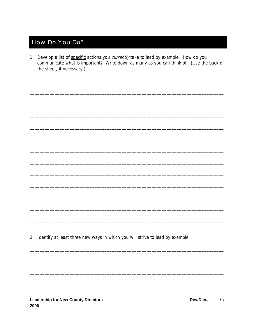### <span id="page-34-0"></span>**How Do You Do?**

1. Develop a list of specific actions you currently take to lead by example. How do you communicate what is important? Write down as many as you can think of. (Use the back of the sheet, if necessary.)

2. Identify at least three new ways in which you will strive to lead by example.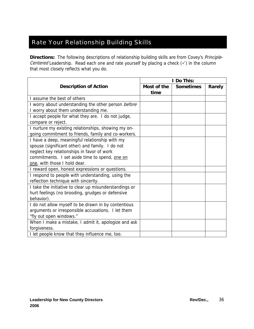# <span id="page-35-0"></span>Rate Your Relationship Building Skills

**Directions:** The following descriptions of relationship building skills are from Covey's Principle-Centered Leadership. Read each one and rate yourself by placing a check  $(\checkmark)$  in the column that most closely reflects what you do.

|                                                        |             | I Do This:       |        |
|--------------------------------------------------------|-------------|------------------|--------|
| <b>Description of Action</b>                           | Most of the | <b>Sometimes</b> | Rarely |
|                                                        | time        |                  |        |
| I assume the best of others                            |             |                  |        |
| I worry about understanding the other person before    |             |                  |        |
| I worry about them understanding me.                   |             |                  |        |
| I accept people for what they are. I do not judge,     |             |                  |        |
| compare or reject.                                     |             |                  |        |
| I nurture my existing relationships, showing my on-    |             |                  |        |
| going commitment to friends, family and co-workers.    |             |                  |        |
| I have a deep, meaningful relationship with my         |             |                  |        |
| spouse (significant other) and family. I do not        |             |                  |        |
| neglect key relationships in favor of work             |             |                  |        |
| commitments. I set aside time to spend, one on         |             |                  |        |
| one, with those I hold dear.                           |             |                  |        |
| I reward open, honest expressions or questions.        |             |                  |        |
| I respond to people with understanding, using the      |             |                  |        |
| reflection technique with sincerity.                   |             |                  |        |
| I take the initiative to clear up misunderstandings or |             |                  |        |
| hurt feelings (no brooding, grudges or defensive       |             |                  |        |
| behavior).                                             |             |                  |        |
| I do not allow myself to be drawn in by contentious    |             |                  |        |
| arguments or irresponsible accusations. I let them     |             |                  |        |
| "fly out open windows."                                |             |                  |        |
| When I make a mistake, I admit it, apologize and ask   |             |                  |        |
| forgiveness.                                           |             |                  |        |
| I let people know that they influence me, too.         |             |                  |        |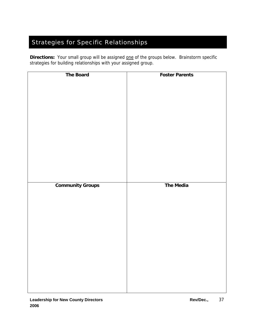# <span id="page-36-0"></span>Strategies for Specific Relationships

**Directions:** Your small group will be assigned one of the groups below. Brainstorm specific strategies for building relationships with your assigned group.

| <b>The Board</b>        | <b>Foster Parents</b> |
|-------------------------|-----------------------|
|                         |                       |
|                         |                       |
|                         |                       |
|                         |                       |
|                         |                       |
|                         |                       |
|                         |                       |
|                         |                       |
|                         |                       |
|                         |                       |
|                         |                       |
|                         |                       |
|                         |                       |
|                         |                       |
|                         |                       |
|                         |                       |
|                         |                       |
|                         |                       |
|                         |                       |
|                         |                       |
|                         |                       |
|                         |                       |
|                         |                       |
|                         |                       |
|                         |                       |
|                         |                       |
|                         |                       |
|                         |                       |
|                         |                       |
| <b>Community Groups</b> | <b>The Media</b>      |
|                         |                       |
|                         |                       |
|                         |                       |
|                         |                       |
|                         |                       |
|                         |                       |
|                         |                       |
|                         |                       |
|                         |                       |
|                         |                       |
|                         |                       |
|                         |                       |
|                         |                       |
|                         |                       |
|                         |                       |
|                         |                       |
|                         |                       |
|                         |                       |
|                         |                       |
|                         |                       |
|                         |                       |
|                         |                       |
|                         |                       |
|                         |                       |
|                         |                       |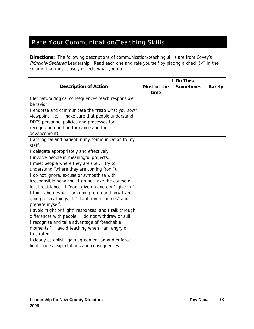#### <span id="page-37-0"></span>Rate Your Communication/Teaching Skills

**Directions:** The following descriptions of communication/teaching skills are from Covey's Principle-Centered Leadership. Read each one and rate yourself by placing a check  $(\checkmark)$  in the column that most closely reflects what you do.

|                                                         | I Do This:  |                  |        |  |
|---------------------------------------------------------|-------------|------------------|--------|--|
| <b>Description of Action</b>                            | Most of the | <b>Sometimes</b> | Rarely |  |
|                                                         | time        |                  |        |  |
| I let natural/logical consequences teach responsible    |             |                  |        |  |
| behavior.                                               |             |                  |        |  |
| I endorse and communicate the "reap what you sow"       |             |                  |        |  |
| viewpoint (i.e., I make sure that people understand     |             |                  |        |  |
| DFCS personnel policies and processes for               |             |                  |        |  |
| recognizing good performance and for                    |             |                  |        |  |
| advancement).                                           |             |                  |        |  |
| I am logical and patient in my communication to my      |             |                  |        |  |
| staff.                                                  |             |                  |        |  |
| I delegate appropriately and effectively.               |             |                  |        |  |
| I involve people in meaningful projects.                |             |                  |        |  |
| I meet people where they are (i.e., I try to            |             |                  |        |  |
| understand "where they are coming from").               |             |                  |        |  |
| I do not ignore, excuse or sympathize with              |             |                  |        |  |
| irresponsible behavior. I do not take the course of     |             |                  |        |  |
| least resistance. I "don't give up and don't give in."  |             |                  |        |  |
| I think about what I am going to do and how I am        |             |                  |        |  |
| going to say things. I "plumb my resources" and         |             |                  |        |  |
| prepare myself.                                         |             |                  |        |  |
| I avoid "fight or flight" responses, and I talk through |             |                  |        |  |
| differences with people. I do not withdraw or sulk.     |             |                  |        |  |
| I recognize and take advantage of "teachable            |             |                  |        |  |
| moments." I avoid teaching when I am angry or           |             |                  |        |  |
| frustrated.                                             |             |                  |        |  |
| I clearly establish, gain agreement on and enforce      |             |                  |        |  |
| limits, rules, expectations and consequences.           |             |                  |        |  |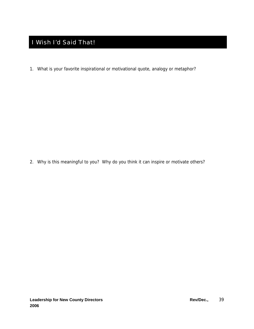# <span id="page-38-0"></span>I Wish I'd Said That!

1. What is your favorite inspirational or motivational quote, analogy or metaphor?

2. Why is this meaningful to you? Why do you think it can inspire or motivate others?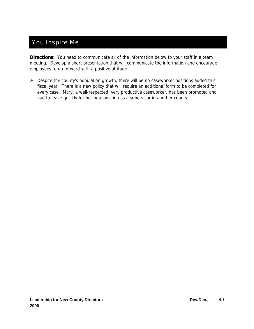#### <span id="page-39-0"></span>You Inspire Me

**Directions:** You need to communicate all of the information below to your staff in a team meeting. Develop a short presentation that will communicate the information and encourage employees to go forward with a positive attitude.

 $\triangleright$  Despite the county's population growth, there will be no caseworker positions added this fiscal year. There is a new policy that will require an additional form to be completed for every case. Mary, a well-respected, very productive caseworker, has been promoted and had to leave quickly for her new position as a supervisor in another county.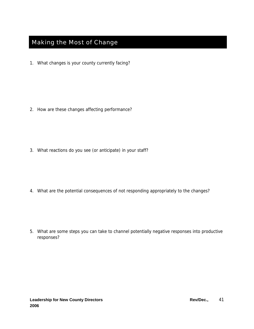# <span id="page-40-0"></span>Making the Most of Change

1. What changes is your county currently facing?

2. How are these changes affecting performance?

3. What reactions do you see (or anticipate) in your staff?

4. What are the potential consequences of not responding appropriately to the changes?

5. What are some steps you can take to channel potentially negative responses into productive responses?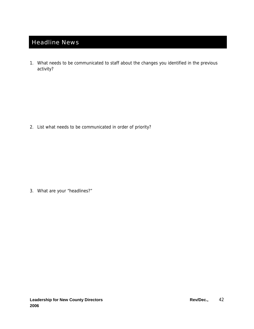# <span id="page-41-0"></span>Headline News

1. What needs to be communicated to staff about the changes you identified in the previous activity?

2. List what needs to be communicated in order of priority?

3. What are your "headlines?"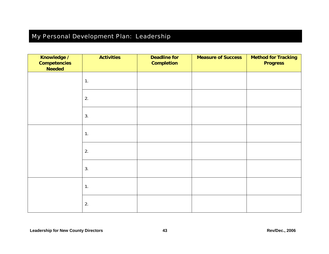# My Personal Development Plan: Leadership

<span id="page-42-0"></span>

| Knowledge /<br><b>Competencies</b><br><b>Needed</b> | <b>Activities</b> | <b>Deadline for</b><br><b>Completion</b> | <b>Measure of Success</b> | <b>Method for Tracking</b><br><b>Progress</b> |
|-----------------------------------------------------|-------------------|------------------------------------------|---------------------------|-----------------------------------------------|
|                                                     | 1.                |                                          |                           |                                               |
|                                                     | 2.                |                                          |                           |                                               |
|                                                     | 3.                |                                          |                           |                                               |
|                                                     | 1.                |                                          |                           |                                               |
|                                                     | 2.                |                                          |                           |                                               |
|                                                     | 3.                |                                          |                           |                                               |
|                                                     | 1.                |                                          |                           |                                               |
|                                                     | 2.                |                                          |                           |                                               |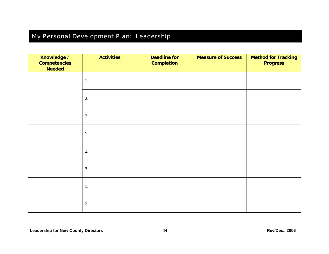# My Personal Development Plan: Leadership

<span id="page-43-0"></span>

| Knowledge /<br><b>Competencies</b><br><b>Needed</b> | <b>Activities</b> | <b>Deadline for</b><br><b>Completion</b> | <b>Measure of Success</b> | <b>Method for Tracking</b><br><b>Progress</b> |
|-----------------------------------------------------|-------------------|------------------------------------------|---------------------------|-----------------------------------------------|
|                                                     | 1.                |                                          |                           |                                               |
|                                                     | 2.                |                                          |                           |                                               |
|                                                     | 3.                |                                          |                           |                                               |
|                                                     | 1.                |                                          |                           |                                               |
|                                                     | 2.                |                                          |                           |                                               |
|                                                     | 3.                |                                          |                           |                                               |
|                                                     | 1.                |                                          |                           |                                               |
|                                                     | 2.                |                                          |                           |                                               |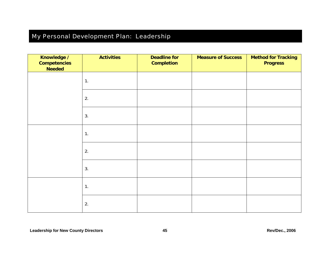# My Personal Development Plan: Leadership

| Knowledge /<br><b>Competencies</b><br><b>Needed</b> | <b>Activities</b> | <b>Deadline for</b><br><b>Completion</b> | <b>Measure of Success</b> | <b>Method for Tracking</b><br><b>Progress</b> |
|-----------------------------------------------------|-------------------|------------------------------------------|---------------------------|-----------------------------------------------|
|                                                     | 1.                |                                          |                           |                                               |
|                                                     | 2.                |                                          |                           |                                               |
|                                                     | 3.                |                                          |                           |                                               |
|                                                     | 1.                |                                          |                           |                                               |
|                                                     | 2.                |                                          |                           |                                               |
|                                                     | 3.                |                                          |                           |                                               |
|                                                     | 1.                |                                          |                           |                                               |
|                                                     | 2.                |                                          |                           |                                               |

<span id="page-44-0"></span> **County Directors 45 Rev/Dec., 2006 Leadership for New**